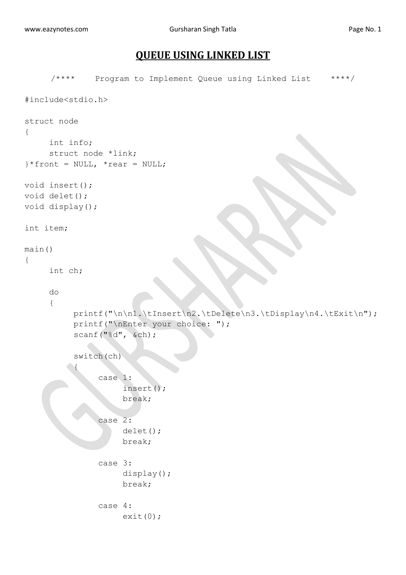## **QUEUE USING LINKED LIST**

```
/**** Program to Implement Queue using Linked List ****/
#include<stdio.h>
struct node
{
     int info;
     struct node *link;
}*front = NULL, *rear = NULL;void insert();
void delet();
void display();
int item;
main()
{
     int ch;
     do
      {
           printf("\n\n1.\tInsert\n2.\tDelete\n3.\tDisplay\n4.\tExit\n");
            printf("\nEnter your choice: ");
            scanf("%d", &ch);
           switch(ch)
      \left\{\begin{array}{c} \end{array}\right\} case 1:
                        insert();
                       break;
                  case 2:
                        delet();
                       break;
                  case 3:
                        display();
                       break;
                 case 4:
                      ext(0);
```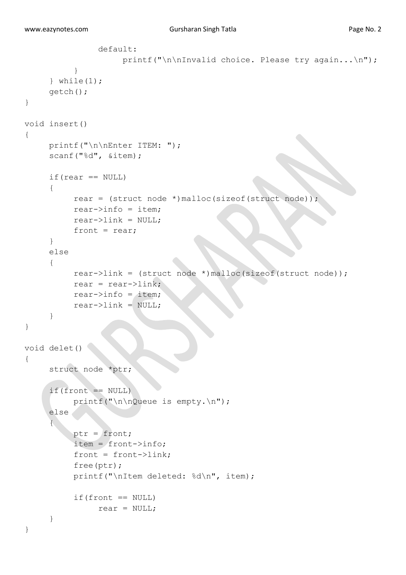```
 default:
                    printf("\n\nInvalid choice. Please try again...\n");
 }
     } while(1);
      getch();
}
void insert()
{
     printf("\n\nEnter ITEM: ");
     scanf("%d", &item);
     if(rear == NULL){
          rear = (struct node *)malloc(sizeof(struct node));
          rear->info = item;rear->link = NULL;
          front = rear;}
     else
     {
          rear->link = (struct node *)malloc(sizeof(struct node));
          rear = rear->link;
          rear\rightarrowinfo = item;
          rear->link = NULL;}
}
void delet()
{
     struct node *ptr;
     if(front == NULL)printf("\n\nQueue is empty.\n");
     else
     {
           ptr = front;
           item = front->info;
          front = front->link; free(ptr);
           printf("\nItem deleted: %d\n", item);
          if(front == NULL)rear = NULL;}
}
```